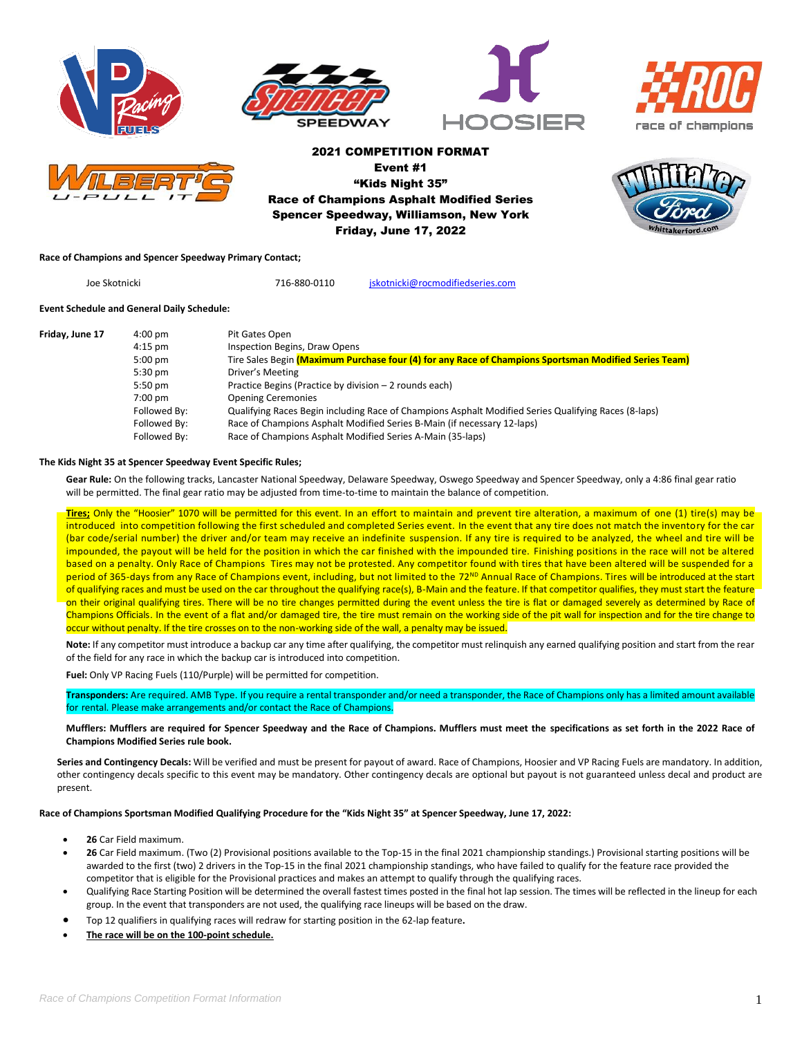









2021 COMPETITION FORMAT Event #1 "Kids Night 35" Race of Champions Asphalt Modified Series Spencer Speedway, Williamson, New York Friday, June 17, 2022

## **Race of Champions and Spencer Speedway Primary Contact;**

Joe Skotnicki 716-880-0110 [jskotnicki@rocmodifiedseries.com](mailto:jskotnicki@rocmodifiedseries.com)

# **Event Schedule and General Daily Schedule:**

| Friday, June 17 | $4:00 \text{ pm}$ | Pit Gates Open                                                                                        |
|-----------------|-------------------|-------------------------------------------------------------------------------------------------------|
|                 | $4:15$ pm         | Inspection Begins, Draw Opens                                                                         |
|                 | $5:00$ pm         | Tire Sales Begin (Maximum Purchase four (4) for any Race of Champions Sportsman Modified Series Team) |
|                 | $5:30$ pm         | Driver's Meeting                                                                                      |
|                 | $5:50$ pm         | Practice Begins (Practice by division - 2 rounds each)                                                |
|                 | $7:00$ pm         | <b>Opening Ceremonies</b>                                                                             |
|                 | Followed By:      | Qualifying Races Begin including Race of Champions Asphalt Modified Series Qualifying Races (8-laps)  |
|                 | Followed By:      | Race of Champions Asphalt Modified Series B-Main (if necessary 12-laps)                               |
|                 | Followed By:      | Race of Champions Asphalt Modified Series A-Main (35-laps)                                            |

#### **The Kids Night 35 at Spencer Speedway Event Specific Rules;**

**Gear Rule:** On the following tracks, Lancaster National Speedway, Delaware Speedway, Oswego Speedway and Spencer Speedway, only a 4:86 final gear ratio will be permitted. The final gear ratio may be adjusted from time-to-time to maintain the balance of competition.

**Tires;** Only the "Hoosier" 1070 will be permitted for this event. In an effort to maintain and prevent tire alteration, a maximum of one (1) tire(s) may be introduced into competition following the first scheduled and completed Series event. In the event that any tire does not match the inventory for the car (bar code/serial number) the driver and/or team may receive an indefinite suspension. If any tire is required to be analyzed, the wheel and tire will be impounded, the payout will be held for the position in which the car finished with the impounded tire. Finishing positions in the race will not be altered based on a penalty. Only Race of Champions Tires may not be protested. Any competitor found with tires that have been altered will be suspended for a period of 365-days from any Race of Champions event, including, but not limited to the 72<sup>ND</sup> Annual Race of Champions. Tires will be introduced at the start of qualifying races and must be used on the car throughout the qualifying race(s), B-Main and the feature. If that competitor qualifies, they must start the feature on their original qualifying tires. There will be no tire changes permitted during the event unless the tire is flat or damaged severely as determined by Race of Champions Officials. In the event of a flat and/or damaged tire, the tire must remain on the working side of the pit wall for inspection and for the tire change to occur without penalty. If the tire crosses on to the non-working side of the wall, a penalty may be issued.

**Note:** If any competitor must introduce a backup car any time after qualifying, the competitor must relinquish any earned qualifying position and start from the rear of the field for any race in which the backup car is introduced into competition.

**Fuel:** Only VP Racing Fuels (110/Purple) will be permitted for competition.

**Transponders:** Are required. AMB Type. If you require a rental transponder and/or need a transponder, the Race of Champions only has a limited amount available for rental. Please make arrangements and/or contact the Race of Champions.

#### **Mufflers: Mufflers are required for Spencer Speedway and the Race of Champions. Mufflers must meet the specifications as set forth in the 2022 Race of Champions Modified Series rule book.**

**Series and Contingency Decals:** Will be verified and must be present for payout of award. Race of Champions, Hoosier and VP Racing Fuels are mandatory. In addition, other contingency decals specific to this event may be mandatory. Other contingency decals are optional but payout is not guaranteed unless decal and product are present.

**Race of Champions Sportsman Modified Qualifying Procedure for the "Kids Night 35" at Spencer Speedway, June 17, 2022:**

- **26** Car Field maximum.
- **26** Car Field maximum. (Two (2) Provisional positions available to the Top-15 in the final 2021 championship standings.) Provisional starting positions will be awarded to the first (two) 2 drivers in the Top-15 in the final 2021 championship standings, who have failed to qualify for the feature race provided the competitor that is eligible for the Provisional practices and makes an attempt to qualify through the qualifying races.
- Qualifying Race Starting Position will be determined the overall fastest times posted in the final hot lap session. The times will be reflected in the lineup for each group. In the event that transponders are not used, the qualifying race lineups will be based on the draw.
- Top 12 qualifiers in qualifying races will redraw for starting position in the 62-lap feature**.**
- **The race will be on the 100-point schedule.**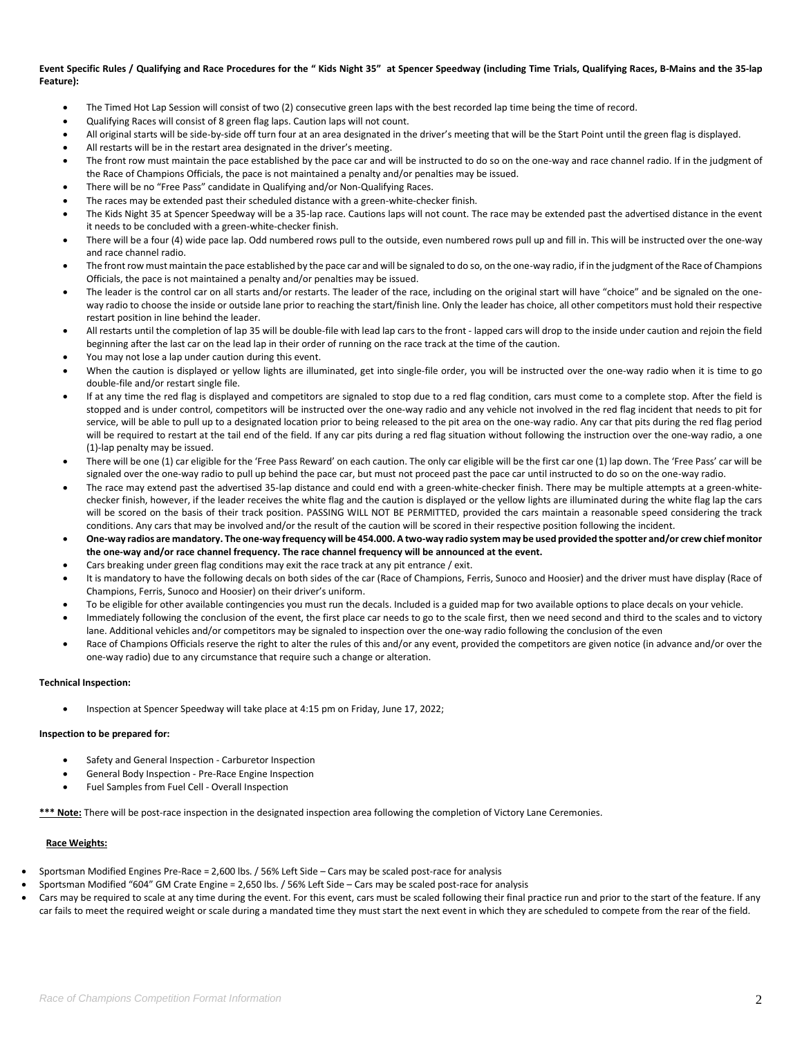## **Event Specific Rules / Qualifying and Race Procedures for the " Kids Night 35" at Spencer Speedway (including Time Trials, Qualifying Races, B-Mains and the 35-lap Feature):**

- The Timed Hot Lap Session will consist of two (2) consecutive green laps with the best recorded lap time being the time of record.
- Qualifying Races will consist of 8 green flag laps. Caution laps will not count.
- All original starts will be side-by-side off turn four at an area designated in the driver's meeting that will be the Start Point until the green flag is displayed.
- All restarts will be in the restart area designated in the driver's meeting.
- The front row must maintain the pace established by the pace car and will be instructed to do so on the one-way and race channel radio. If in the judgment of the Race of Champions Officials, the pace is not maintained a penalty and/or penalties may be issued.
- There will be no "Free Pass" candidate in Qualifying and/or Non-Qualifying Races.
- The races may be extended past their scheduled distance with a green-white-checker finish.
- The Kids Night 35 at Spencer Speedway will be a 35-lap race. Cautions laps will not count. The race may be extended past the advertised distance in the event it needs to be concluded with a green-white-checker finish.
- There will be a four (4) wide pace lap. Odd numbered rows pull to the outside, even numbered rows pull up and fill in. This will be instructed over the one-way and race channel radio.
- The front row must maintain the pace established by the pace car and will be signaled to do so, on the one-way radio, if in the judgment of the Race of Champions Officials, the pace is not maintained a penalty and/or penalties may be issued.
- The leader is the control car on all starts and/or restarts. The leader of the race, including on the original start will have "choice" and be signaled on the oneway radio to choose the inside or outside lane prior to reaching the start/finish line. Only the leader has choice, all other competitors must hold their respective restart position in line behind the leader.
- All restarts until the completion of lap 35 will be double-file with lead lap cars to the front lapped cars will drop to the inside under caution and rejoin the field beginning after the last car on the lead lap in their order of running on the race track at the time of the caution.
- You may not lose a lap under caution during this event.
- When the caution is displayed or yellow lights are illuminated, get into single-file order, you will be instructed over the one-way radio when it is time to go double-file and/or restart single file.
- If at any time the red flag is displayed and competitors are signaled to stop due to a red flag condition, cars must come to a complete stop. After the field is stopped and is under control, competitors will be instructed over the one-way radio and any vehicle not involved in the red flag incident that needs to pit for service, will be able to pull up to a designated location prior to being released to the pit area on the one-way radio. Any car that pits during the red flag period will be required to restart at the tail end of the field. If any car pits during a red flag situation without following the instruction over the one-way radio, a one (1)-lap penalty may be issued.
- There will be one (1) car eligible for the 'Free Pass Reward' on each caution. The only car eligible will be the first car one (1) lap down. The 'Free Pass' car will be signaled over the one-way radio to pull up behind the pace car, but must not proceed past the pace car until instructed to do so on the one-way radio.
- The race may extend past the advertised 35-lap distance and could end with a green-white-checker finish. There may be multiple attempts at a green-whitechecker finish, however, if the leader receives the white flag and the caution is displayed or the yellow lights are illuminated during the white flag lap the cars will be scored on the basis of their track position. PASSING WILL NOT BE PERMITTED, provided the cars maintain a reasonable speed considering the track conditions. Any cars that may be involved and/or the result of the caution will be scored in their respective position following the incident.
- **One-way radios are mandatory. The one-way frequency will be 454.000. A two-way radio system may be used provided the spotter and/or crew chief monitor the one-way and/or race channel frequency. The race channel frequency will be announced at the event.**
- Cars breaking under green flag conditions may exit the race track at any pit entrance / exit.
- It is mandatory to have the following decals on both sides of the car (Race of Champions, Ferris, Sunoco and Hoosier) and the driver must have display (Race of Champions, Ferris, Sunoco and Hoosier) on their driver's uniform.
- To be eligible for other available contingencies you must run the decals. Included is a guided map for two available options to place decals on your vehicle.
- Immediately following the conclusion of the event, the first place car needs to go to the scale first, then we need second and third to the scales and to victory lane. Additional vehicles and/or competitors may be signaled to inspection over the one-way radio following the conclusion of the even
- Race of Champions Officials reserve the right to alter the rules of this and/or any event, provided the competitors are given notice (in advance and/or over the one-way radio) due to any circumstance that require such a change or alteration.

#### **Technical Inspection:**

• Inspection at Spencer Speedway will take place at 4:15 pm on Friday, June 17, 2022;

#### **Inspection to be prepared for:**

- Safety and General Inspection Carburetor Inspection
- General Body Inspection Pre-Race Engine Inspection
- Fuel Samples from Fuel Cell Overall Inspection

**\*\*\* Note:** There will be post-race inspection in the designated inspection area following the completion of Victory Lane Ceremonies.

#### **Race Weights:**

- Sportsman Modified Engines Pre-Race = 2,600 lbs. / 56% Left Side Cars may be scaled post-race for analysis
	- Sportsman Modified "604" GM Crate Engine = 2,650 lbs. / 56% Left Side Cars may be scaled post-race for analysis
- Cars may be required to scale at any time during the event. For this event, cars must be scaled following their final practice run and prior to the start of the feature. If any car fails to meet the required weight or scale during a mandated time they must start the next event in which they are scheduled to compete from the rear of the field.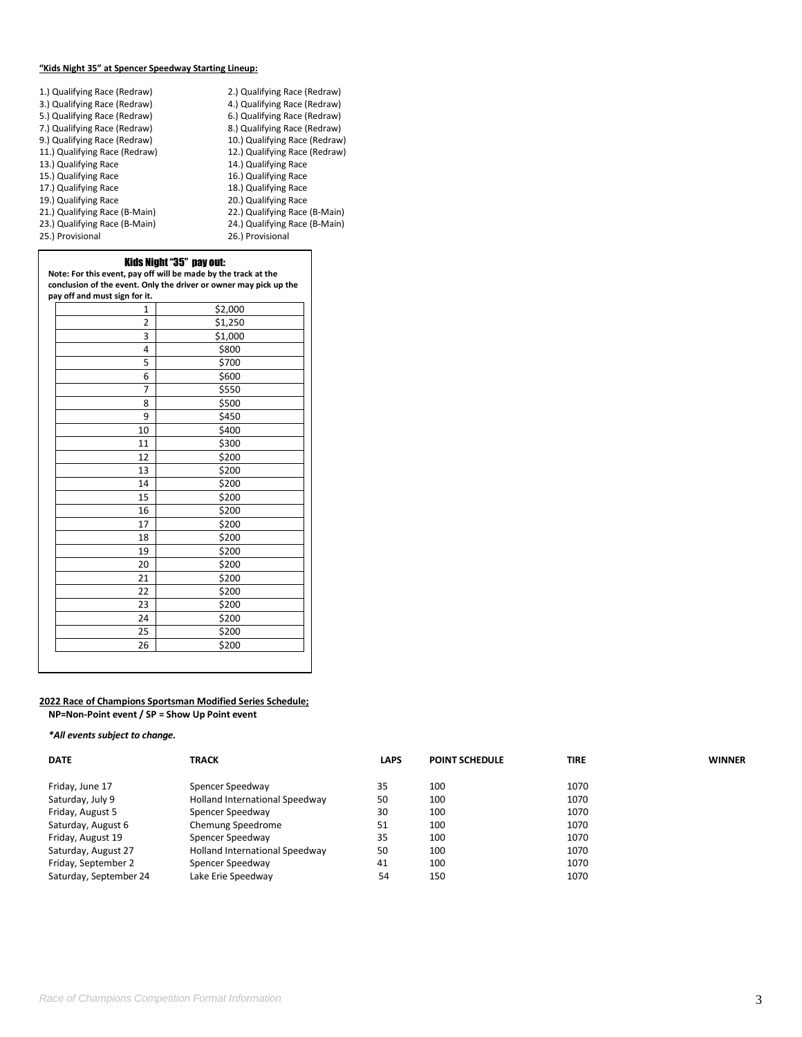## **"Kids Night 35" at Spencer Speedway Starting Lineup:**

| 1.) Qualifying Race (Redraw)  | 2.) Qualifying Race (Redraw)  |
|-------------------------------|-------------------------------|
| 3.) Qualifying Race (Redraw)  | 4.) Qualifying Race (Redraw)  |
| 5.) Qualifying Race (Redraw)  | 6.) Qualifying Race (Redraw)  |
| 7.) Qualifying Race (Redraw)  | 8.) Qualifying Race (Redraw)  |
| 9.) Qualifying Race (Redraw)  | 10.) Qualifying Race (Redraw) |
| 11.) Qualifying Race (Redraw) | 12.) Qualifying Race (Redraw) |
| 13.) Qualifying Race          | 14.) Qualifying Race          |
| 15.) Qualifying Race          | 16.) Qualifying Race          |
| 17.) Qualifying Race          | 18.) Qualifying Race          |
| 19.) Qualifying Race          | 20.) Qualifying Race          |
| 21.) Qualifying Race (B-Main) | 22.) Qualifying Race (B-Main) |
| 23.) Qualifying Race (B-Main) | 24.) Qualifying Race (B-Main) |
| 25.) Provisional              | 26.) Provisional              |
|                               |                               |

## Kids Night "35" pay out:

**Note: For this event, pay off will be made by the track at the conclusion of the event. Only the driver or owner may pick up the** 

| pay off and must sign for it. |         |  |  |
|-------------------------------|---------|--|--|
| 1                             | \$2,000 |  |  |
| 2                             | \$1,250 |  |  |
| 3                             | \$1,000 |  |  |
| 4                             | \$800   |  |  |
| 5                             | \$700   |  |  |
| 6                             | \$600   |  |  |
| $\overline{7}$                | \$550   |  |  |
| 8                             | \$500   |  |  |
| 9                             | \$450   |  |  |
| 10                            | \$400   |  |  |
| 11                            | \$300   |  |  |
| 12                            | \$200   |  |  |
| 13                            | \$200   |  |  |
| 14                            | \$200   |  |  |
| 15                            | \$200   |  |  |
| 16                            | \$200   |  |  |
| 17                            | \$200   |  |  |
| 18                            | \$200   |  |  |
| 19                            | \$200   |  |  |
| 20                            | \$200   |  |  |
| 21                            | \$200   |  |  |
| 22                            | \$200   |  |  |
| 23                            | \$200   |  |  |
| 24                            | \$200   |  |  |
| 25                            | \$200   |  |  |
| 26                            | \$200   |  |  |
|                               |         |  |  |

#### **2022 Race of Champions Sportsman Modified Series Schedule; NP=Non-Point event / SP = Show Up Point event**

# *\*All events subject to change.*

| <b>DATE</b>            | <b>TRACK</b>                   | <b>LAPS</b> | <b>POINT SCHEDULE</b> | <b>TIRE</b> | <b>WINNER</b> |
|------------------------|--------------------------------|-------------|-----------------------|-------------|---------------|
| Friday, June 17        | Spencer Speedway               | 35          | 100                   | 1070        |               |
| Saturday, July 9       | Holland International Speedway | 50          | 100                   | 1070        |               |
| Friday, August 5       | Spencer Speedway               | 30          | 100                   | 1070        |               |
| Saturday, August 6     | Chemung Speedrome              | 51          | 100                   | 1070        |               |
| Friday, August 19      | Spencer Speedway               | 35          | 100                   | 1070        |               |
| Saturday, August 27    | Holland International Speedway | 50          | 100                   | 1070        |               |
| Friday, September 2    | Spencer Speedway               | 41          | 100                   | 1070        |               |
| Saturday, September 24 | Lake Erie Speedway             | 54          | 150                   | 1070        |               |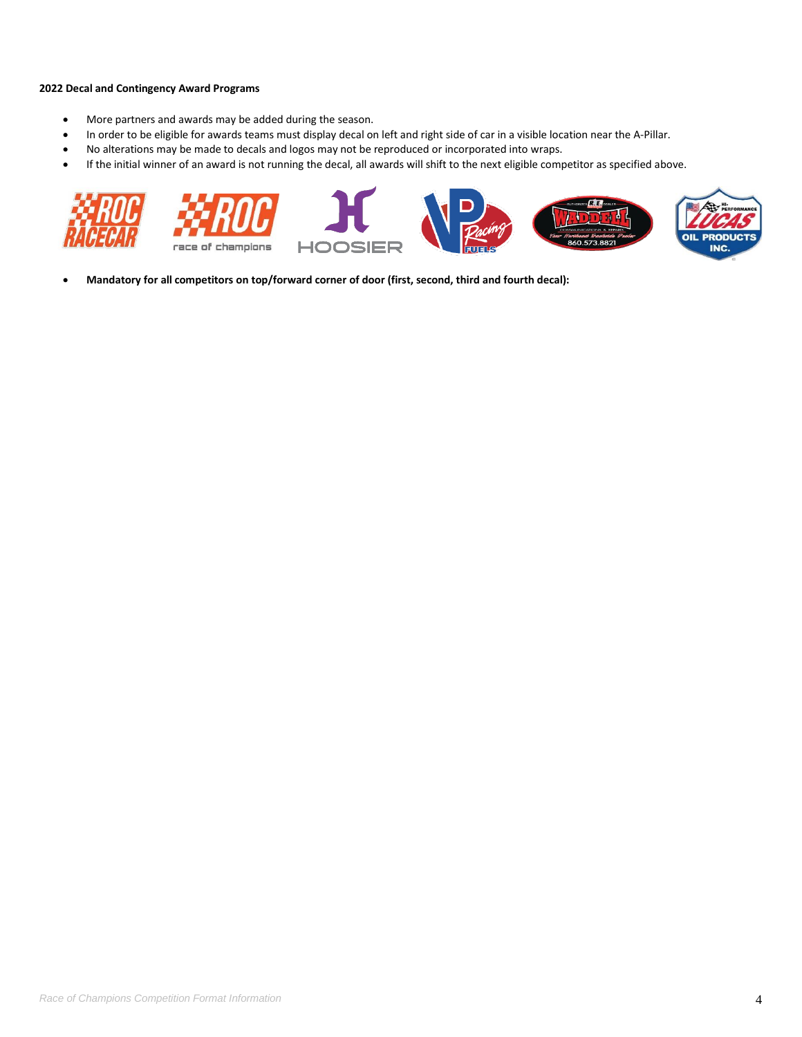# **2022 Decal and Contingency Award Programs**

- More partners and awards may be added during the season.
- In order to be eligible for awards teams must display decal on left and right side of car in a visible location near the A-Pillar.
- No alterations may be made to decals and logos may not be reproduced or incorporated into wraps.
- If the initial winner of an award is not running the decal, all awards will shift to the next eligible competitor as specified above.



• **Mandatory for all competitors on top/forward corner of door (first, second, third and fourth decal):**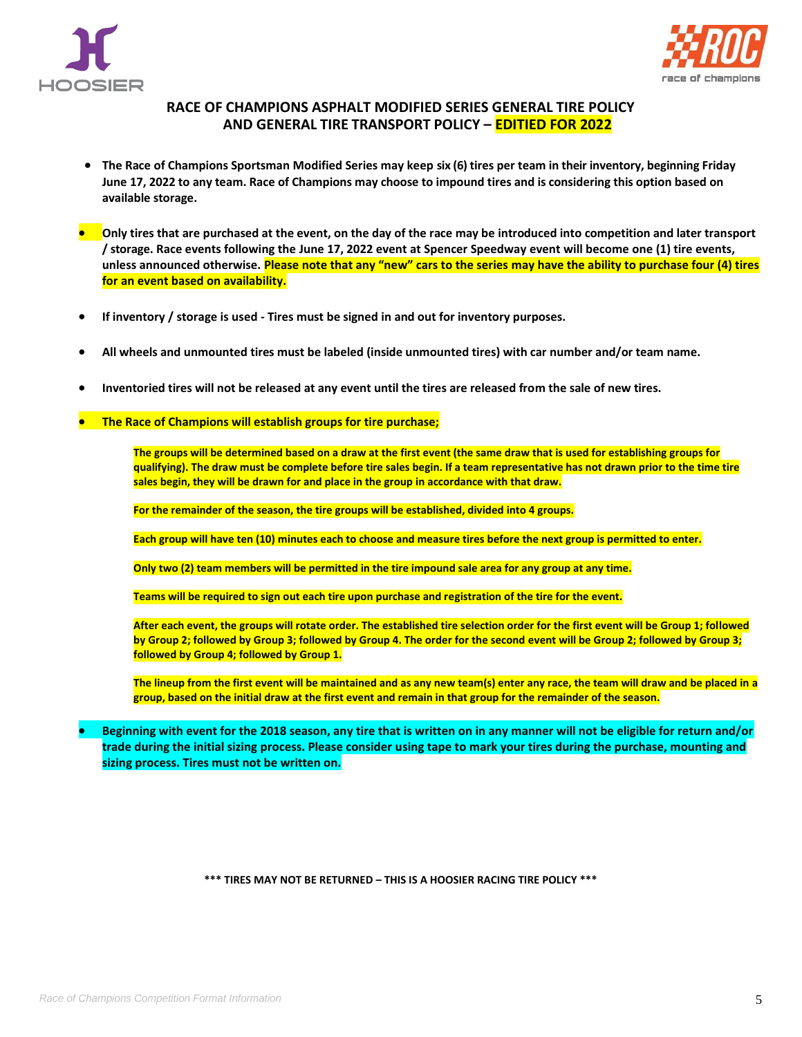



# **RACE OF CHAMPIONS ASPHALT MODIFIED SERIES GENERAL TIRE POLICY AND GENERAL TIRE TRANSPORT POLICY – EDITIED FOR 2022**

- **The Race of Champions Sportsman Modified Series may keep six (6) tires per team in their inventory, beginning Friday June 17, 2022 to any team. Race of Champions may choose to impound tires and is considering this option based on available storage.**
- **Only tires that are purchased at the event, on the day of the race may be introduced into competition and later transport / storage. Race events following the June 17, 2022 event at Spencer Speedway event will become one (1) tire events, unless announced otherwise. Please note that any "new" cars to the series may have the ability to purchase four (4) tires for an event based on availability.**
- **If inventory / storage is used - Tires must be signed in and out for inventory purposes.**
- **All wheels and unmounted tires must be labeled (inside unmounted tires) with car number and/or team name.**
- **Inventoried tires will not be released at any event until the tires are released from the sale of new tires.**
- **The Race of Champions will establish groups for tire purchase;**

**The groups will be determined based on a draw at the first event (the same draw that is used for establishing groups for qualifying). The draw must be complete before tire sales begin. If a team representative has not drawn prior to the time tire sales begin, they will be drawn for and place in the group in accordance with that draw.**

**For the remainder of the season, the tire groups will be established, divided into 4 groups.**

**Each group will have ten (10) minutes each to choose and measure tires before the next group is permitted to enter.** 

**Only two (2) team members will be permitted in the tire impound sale area for any group at any time.**

**Teams will be required to sign out each tire upon purchase and registration of the tire for the event.**

**After each event, the groups will rotate order. The established tire selection order for the first event will be Group 1; followed by Group 2; followed by Group 3; followed by Group 4. The order for the second event will be Group 2; followed by Group 3; followed by Group 4; followed by Group 1.**

**The lineup from the first event will be maintained and as any new team(s) enter any race, the team will draw and be placed in a group, based on the initial draw at the first event and remain in that group for the remainder of the season.**

• **Beginning with event for the 2018 season, any tire that is written on in any manner will not be eligible for return and/or trade during the initial sizing process. Please consider using tape to mark your tires during the purchase, mounting and sizing process. Tires must not be written on.**

**\*\*\* TIRES MAY NOT BE RETURNED – THIS IS A HOOSIER RACING TIRE POLICY \*\*\***